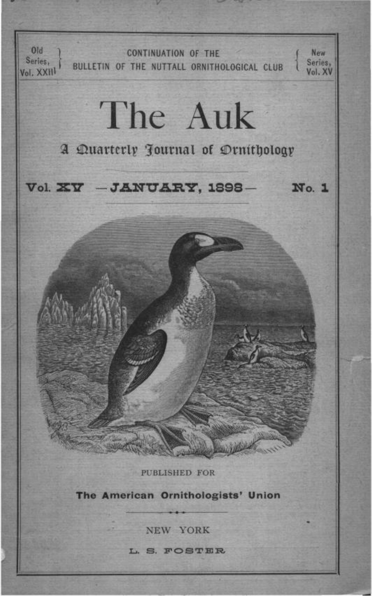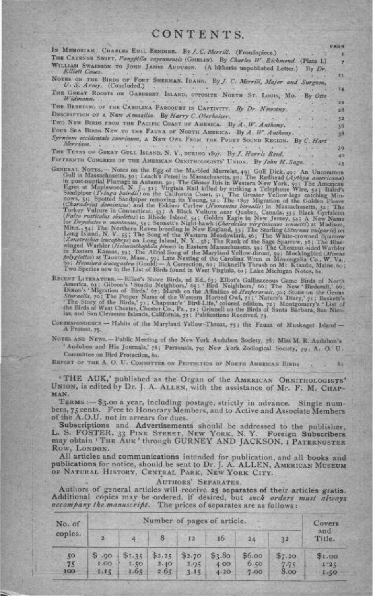# CONTENTS.

|                                                                                                      | PAGE   |
|------------------------------------------------------------------------------------------------------|--------|
| IN MEMORIAM: CHARLES EMIL BENDIER. By J. C. Merrill. (Frontispiece.)                                 |        |
| THE CAYSNNE SWIFT, Panyptila cayennensis (GMELIN). By Charles W. Richmond. (Plate I.)                |        |
| WILLIAM SWAINSON TO JOHN JAMES AUDUBON. (A hitherto unpublished Letter.)<br>By Dr.<br>Elliott Couez. |        |
| NOTES ON THE BIRDS OF FORT SHERMAN, IDANO. By J. C. Merrill, Major and Surgeon,                      | EE.    |
| U. S. Army. (Concluded.)                                                                             |        |
|                                                                                                      | 14     |
| THE GREAT ROOSTS ON GARBERRY ISLAND, OPPOSITE NORTH ST. LOUIS, Mo. By Offo<br>Widmann.               |        |
|                                                                                                      | $22 -$ |
| THE BREEDING OF THE CAROLINA PAROQUET IN CAPTIVITY. By Dr. Nowotny.                                  | 28     |
| DESCRIPTION OF A NEW Amazilia. By Harry C. Oberholser.                                               | 32     |
| TWO NEW BIRDS FROM THE PACIFIC COAST OF AMERICA- By A. W. Anthony.                                   |        |
|                                                                                                      | 30     |
| FOUR SEA BIRDS NEW TO THE FAUNA OF NORTH AMERICA. By A. W. Anthony.                                  | $38 -$ |
| Syrnium occidentale caurinum, A NEW OWL FROM THE PUGET SOUND REGION. By C. Hart<br>Метелем.          |        |
|                                                                                                      | 39.    |
| THE TEENS OF GREAT GULL ISLAND, N. Y., DURING 1897. By J. Harris Reed.                               | 40     |
| FIFTEENTH CONGRESS OF THE AMERICAN CHAIRMAN SHARP IT  B. F.L. P.F.                                   |        |

- FIFTRENTIE CONGERS OF THE AMERICAN ORNITHOLOGISTS' UNION. By John H. Sage. 43<br>
GENERAL CONGERS on the Egg of the Marbled Murrelet, 49: Gull Dick, 49: An Uncommon in post-ministrations, 50: The Glossy Ibis in Western New Y
- RECENT LITERATURE. -- Elliot's Shore Birds, 2d Ed., 63; Elliot's Gallinaceous Game Birds of North America, 61; Gibson's 'Studio Neighbors,' 65; 'Bird Neighbors,' 66; The New 'Birderaft,' 66; Dixon's 'Migration of Birds,'
- CORRESPONDENCE Habits of the Maryland Yellow-Throat, 75; the Fauna of Muskeget Island-A Protest, 75.

NOTES AND NEWS. - Public Meeting of the New York Audubon Society, 78; Miss M. R. Audubon's ' Audubon and His Journals,' 78; Personals, 79; New York Zoölogical Society, 79; A. O. U. Committee on Bird Protection, 80.

81

REPORT OF THE A. O. U. COMMITTEE ON PROTECTION OF NORTH AMERICAN BIRDS

'THE AUK,' published as the Organ of the AMERICAN ORNITHOLOGISTS' UNION, is edited by Dr. J. A. ALLEN, with the assistance of Mr. F. M. CHAP-MAN.

TERMS :- \$3.00 a year, including postage, strictly in advance. Single numbers, 75 cents. Free to Honorary Members, and to Active and Associate Members of the A.O.U. not in arrears for dues.

Subscriptions and Advertisements should be addressed to the publisher, L. S. FOSTER, 33 PINE STREET, NEW YORK, N. Y. Foreign Subscribers may obtain 'THE AUK' through GURNEY AND JACKSON, I PATERNOSTER ROW, LONDON.

All articles and communications intended for publication, and all books and publications for notice, should be sent to Dr. J. A. ALLEN, AMERICAN MUSEUM OF NATURAL HISTORY, CENTRAL PARK, NEW YORK CITY.

AUTHORS' SEPARATES.

Authors of general articles will receive 25 separates of their articles gratis. Additional copies may be ordered, if desired, but such orders must always accompany the manuscript. The prices of separates are as follows:

| No. of<br>copies. | Number of pages of article. |                        |                        |                        |                       |                        |                            | Covers                 |
|-------------------|-----------------------------|------------------------|------------------------|------------------------|-----------------------|------------------------|----------------------------|------------------------|
|                   | æ                           |                        | 8 <sub>1</sub>         | 12                     | 16                    | $^{24}$                | 3 <sup>2</sup>             | and<br>Title.          |
| 50<br>75<br>100   | \$.90<br>CO.1<br>1.15       | \$1.35<br>07.1<br>1.65 | \$2.25<br>2.40<br>2.65 | \$2.70<br>2.95<br>3.15 | \$3.80<br>400<br>4.20 | \$6.00<br>0.50<br>7.00 | \$7.20<br>$7 - 75$<br>8.00 | \$1.00<br>1.35<br>1.50 |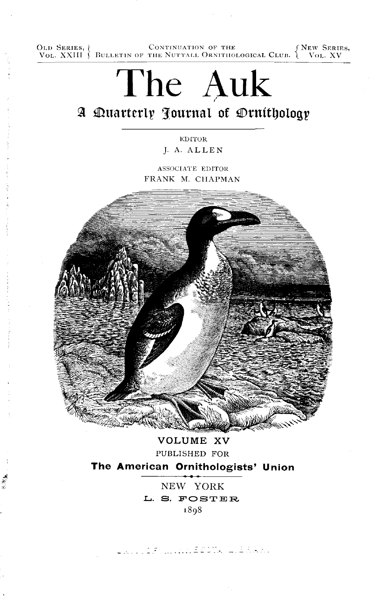OLD SERIES, *CONTINUATION OF THE (NEW SERIES, VOL. XXIII ) BULLETIN OF THE NUTTALL ORNITHOLOGICAL CLUB. (VOL. XV* 



PUBLISHED FOR The American Ornithologists' Union

> NEW YORK L. S. FOSTER 1898

ROLLER MONTEEUT, LEARN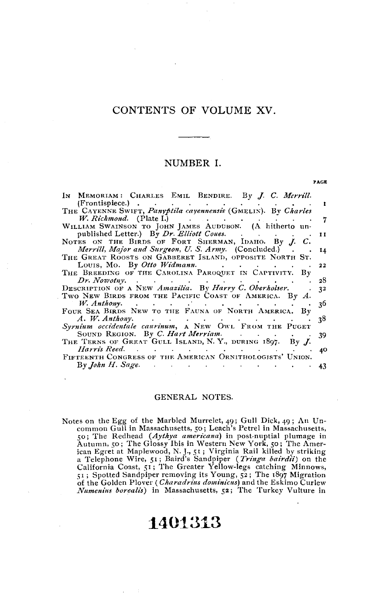## CONTENTS OF VOLUME XV.

## NUMBER I.

**PAGE** 

| IN MEMORIAM: CHARLES EMIL BENDIRE. By J. C. Merrill.                                              |     |
|---------------------------------------------------------------------------------------------------|-----|
| $(Frontis piece.)$                                                                                |     |
| THE CAYENNE SWIFT, Panyptila cayennensis (GMELIN). By Charles                                     |     |
| W. Richmond. (Plate I.) (1998).<br><b>Contract Contract</b>                                       |     |
| WILLIAM SWAINSON TO JOHN JAMES AUDUBON. (A hitherto un-                                           |     |
| published Letter.) By Dr. Elliott Coues.                                                          | 11  |
| NOTES ON THE BIRDS OF FORT SHERMAN, IDAHO. By J. C.                                               |     |
|                                                                                                   |     |
| <i>Merrill, Major and Surgeon, U. S. Army.</i> (Concluded.).                                      | 14  |
| THE GREAT ROOSTS ON GABBERET ISLAND, OPPOSITE NORTH ST.                                           |     |
| Louis, Mo. By Otto Widmann.<br><b>Contract Contract</b>                                           | 22  |
| THE BREEDING OF THE CAROLINA PAROQUET IN CAPTIVITY. By                                            |     |
| Dr. Nowotny.<br><b>Contractor</b><br>$\bullet$ - $\bullet$ - $\bullet$ - $\bullet$                | 28  |
| DESCRIPTION OF A NEW Amazilia. By Harry C. Oberholser.                                            | 32  |
| TWO NEW BIRDS FROM THE PACIFIC COAST OF AMERICA. By A.                                            |     |
|                                                                                                   | 36  |
| FOUR SEA BIRDS NEW TO THE FAUNA OF NORTH AMERICA. By                                              |     |
| A. W. Anthony.<br>the contract of the contract of the contract of the contract of the contract of | 38  |
| Syrnium occidentale caurinum, A NEW OWL FROM THE PUGET                                            |     |
| SOUND REGION. By C. Hart Merriam.                                                                 | 39. |
| THE TERNS OF GREAT GULL ISLAND, N.Y., DURING 1897. By J.                                          |     |
| Harris Reed.<br>the contract of the contract of                                                   |     |
| FIFTEENTH CONGRESS OF THE AMERICAN ORNITHOLOGISTS' UNION.                                         | 40  |
|                                                                                                   |     |
| By John H. Sage. .<br>. The contract of the contract of the contract of $\mathcal{A}$             |     |

#### GENERAL NOTES.

Notes on the Egg of the Marbled Murrelet, 49; Gull Dick, 49; An Uncommon Gull in Massachusetts, 50; Leach's Petrel in Massachusetts, 50; The Redhead (Aythya americana) in post-nuptial plumage in So a The Remeater (Aylaya americana) in post-huptial plumage in<br>Autumn, 50; The Glossy Ibis in Western New York, 50; The Amer-<br>ican Egret at Maplewood, N. J., 51; Virginia Rail killed by striking<br>a Telephone Wire, 51; Bair of the Golden Plover (Charadrius dominicus) and the Eskimo Curlew<br>Numenius borealis) in Massachusetts, 52; The Turkey Vulture in

# 1401313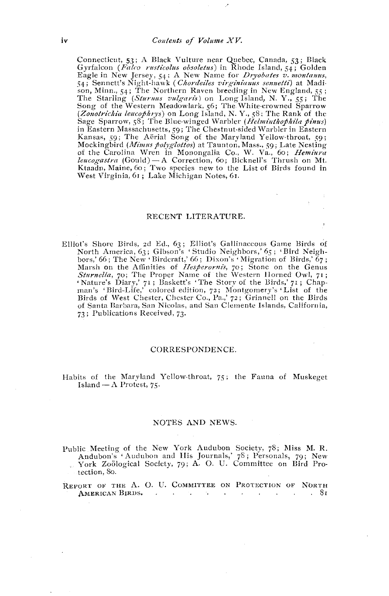Connecticut, 53; A Black Vulture near Quebec, Canada, 53; Black<br>Gyrfalcon (Falco rusticolus obsoletus) in Rhode Island, 54; Golden Gyrtalcon (*Falco rusticolus obsoletus*) in Rhode Island, 54; Golden<br>Eagle in New Jersey, 54; A New Name for *Dryobates v. montanus*,<br>54; Sennett's Night-hawk (*Chordeils virginianus sennetti*) at Madi-<br>son, Minn., 54; Th Sage Sparrow, 58; The Blue-winged Warbler (*Helminthophila pinus*) in Eastern Massachusetts, 59; The Chestnut-sided Warbler in Eastern Kansas, 59; The Aërial Song of the Maryland Yellow-throat, 59; Mockingbird (Mimus polyglotios) at Taunton, Mass., 59; Late Nesting of the Carolina Wren in Monongalia Co., W. Va., 60; Hemiura leucogastra (Gould) - A Correction, 60; Bicknell's Thrush on Mt. Ktaadn, Maine, 60; Two species new to the List of Birds found in West Virginia, 61; Lake Michigan Notes, 61.

#### RECENT LITERATURE.

Elliot's Shore Birds, 2d Ed., 63; Elliot's Gallinaceous Game Birds of North America, 63; Gibson's 'Studio Neighbors,' 65; 'Bird Neighbors,' 66; The New 'Birdcraft,' 66; Dixon's 'Migration of Birds,' 67; bors, oo; The New 'Birdcraft, oo; Dixon s 'Migration of Birds, o7;<br>Marsh on the Affinities of *Hespervinis*, 70; Stone on the Genus<br>Sturnella, 70; The Proper Name of the Western Horned Owl, 71;<br>Sturnella, 70; The Proper Na 73; Publications Received, 73.

#### CORRESPONDENCE.

#### Habits of the Maryland Yellow-throat, 75; the Fauna of Muskeget Island —  $\Lambda$  Protest, 75.

#### NOTES AND NEWS.

Public Meeting of the New York Audubon Society, 78; Miss M. R.<br>Andubon's 'Audubon and His Journals,' 78; Personals, 79; New<br>Evon Zoölogical Society, 79; A. O. U. Committee on Bird Protection, 80.

REPORT OF THE A. O. U. COMMITTEE ON PROTECTION OF NORTH AMERICAN BIRDS.  $\sim$ **Service State**  $\sim 10^{-11}$ **Contract Contract** . 81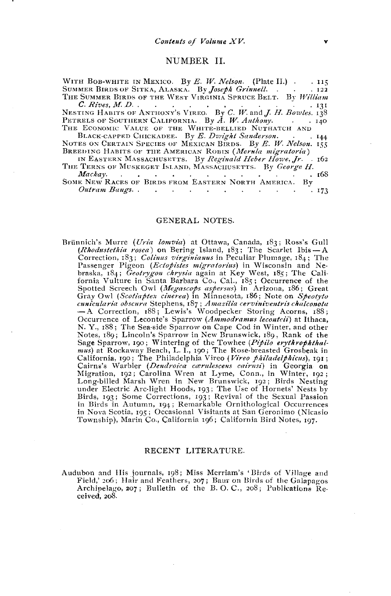## NUMBER II.

| WITH BOB-WHITE IN MEXICO. By E. W. Nelson. (Plate II.) . 115      |
|-------------------------------------------------------------------|
| SUMMER BIRDS OF SITKA, ALASKA. By Joseph Grinnell. 122            |
| THE SUMMER BIRDS OF THE WEST VIRGINIA SPRUCE BELT. By William     |
| .131                                                              |
| NESTING HABITS OF ANTHONY'S VIREO. By C. W. and J. H. Bowles. 138 |
| PETRELS OF SOUTHERN CALIFORNIA. By A. W. Anthony. 140             |
| THE ECONOMIC VALUE OF THE WHITE-BELLIED NUTHATCH AND              |
| BLACK-CAPPED CHICKADEE. By E. Dwight Sanderson. 144               |
| NOTES ON CERTAIN SPECIES OF MEXICAN BIRDS. By E. W. Nelson. 155   |
| BREEDING HABITS OF THE AMERICAN ROBIN (Merula migratoria)         |
| IN EASTERN MASSACHUSETTS. By Reginald Heber Howe, Jr. 162         |
| THE TERNS OF MUSKEGET ISLAND, MASSACHUSETTS. By George H.         |
| Macbow<br>.68                                                     |

SOME NEW RACES OF BIRDS FROM EASTERN NORTH AMERICA. BV **Contract Contract**  $\sim$   $\sim$  $\sim$  $. 173$ 

#### GENERAL NOTES.

Brünnich's Murre (Uria lomvia) at Ottawa, Canada, 183; Ross's Gull (*Rhodustethia rosea*) on Bering Island, 183; The Scarlet Ibis — A Correction, 183; Colinus virginianus in Peculiar Plumage, 184; The Passenger Pigeon (*Ectopistes migratorius*) in Wisconsin and Nebraska, 184; Geotrygon chrysia again at Key West, 185; The California Vulture in Santa Barbara Co., Cal., 185; Occurrence of the<br>Spotted Screech Owl (Megascops aspersus) in Arizona, 186; Great Gray Owl (Scotiaptex cinerea) in Minnesota, 186; Note on Spectyto cunicularia obscura Stephens, 187; Amazilia cerviniventris chalconota<br>- A Correction, 188; Lewis's Woodpecker Storing Acorns, 188; Occurrence of Leconte's Sparrow (Ammodramus leconteii) at Ithaca, N. Y., 188; The Sea-side Sparrow on Cape Cod in Winter, and other Notes, 189; Lincoln's Sparrow in New Brunswick, 189, Rank of the Sage Sparrow, 190; Wintering of the Towhee (Pipilo erythrophthal-<br>mus) at Rockaway Beach, L. I., 190; The Rose-breasted Grosbeak in<br>California, 190; The Philadelphia Vireo (Vireo philadelphicus), 191; Cairns's Warbler (*Dendroica certificate view pathanis)*, 191;<br>Migration, 192; Carolina Wren at Lyme, Conn., in Georgia on<br>Migration, 192; Carolina Wren at Lyme, Conn., in Winter, 192;<br>Long-billed Marsh Wren in New Brunswi in Birds in Autumn, 194; Remarkable Ornithological Occurrences in Nova Scotia, 195; Occasional Visitants at San Geronimo (Nicasio Township), Marin Co., California 196; California Bird Notes, 197.

## RECENT LITERATURE.

Audubon and His journals, 198; Miss Merriam's 'Birds of Village and Field, 206; Hair and Feathers, 207; Baur on Birds of the Galapagos<br>Archipelago, 207; Bulletin of the B.O.C., 208; Publications Received.  $208$ .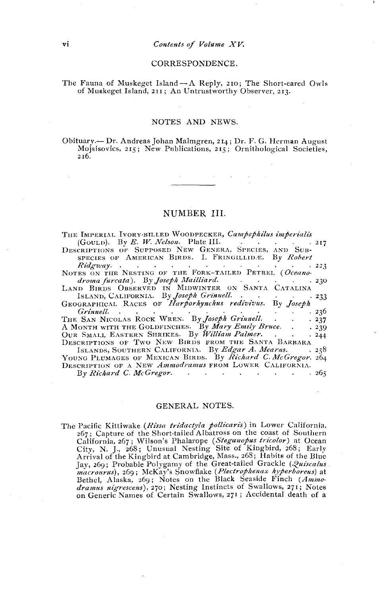#### CORRESPONDENCE.

#### The Fauna of Muskeget Island - A Reply, 210; The Short-eared Owls of Muskeget Island, 211; An Untrustworthy Observer, 213.

## NOTES AND NEWS.

Obituary. - Dr. Andreas Johan Malmgren, 214; Dr. F. G. Herman August Mojsisovics, 215; New Pnblications, 215; Ornithological Societies,  $216.$ 

## NUMBER III.

| THE IMPERIAL IVORY-BILLED WOODPECKER, Campephilus imperialis                                                                                                                                                                   |
|--------------------------------------------------------------------------------------------------------------------------------------------------------------------------------------------------------------------------------|
| (GOULD). By E. W. Nelson. Plate III. $\cdots$ 217                                                                                                                                                                              |
| DESCRIPTIONS OF SUPPOSED NEW GENERA, SPECIES, AND SUB-                                                                                                                                                                         |
| SPECIES OF AMERICAN BIRDS. I. FRINGILLIDÆ. By Robert                                                                                                                                                                           |
| Ridgway. 223 NOTES ON THE NESTING OF THE FORK-TAILED PETREL (Oceano                                                                                                                                                            |
|                                                                                                                                                                                                                                |
| droma furcata). By Joseph Mailliard. (and a control of the set of the set of the set of the set of the set of the set of the set of the set of the set of the set of the set of the set of the set of the set of the set of th |
| LAND BIRDS OBSERVED IN MIDWINTER ON SANTA CATALINA                                                                                                                                                                             |
| ISLAND, CALIFORNIA. By Joseph Grinnell. 233                                                                                                                                                                                    |
| GEOGRAPHICAL RACES OF Harporhynchus redivivus. By Joseph                                                                                                                                                                       |
| .236                                                                                                                                                                                                                           |
| THE SAN NICOLAS ROCK WREN. By Joseph Grinnell<br>.237                                                                                                                                                                          |
| A MONTH WITH THE GOLDFINCHES. By Mary Emily Bruce<br>.239                                                                                                                                                                      |
| OUR SMALL EASTERN SHRIKES. By William Palmer.<br>.244                                                                                                                                                                          |
| DESCRIPTIONS OF TWO NEW BIRDS FROM THE SANTA BARBARA                                                                                                                                                                           |
| ISLANDS, SOUTHERN CALIFORNIA. By Edgar A. Mearns.<br>258                                                                                                                                                                       |
| YOUNG PLUMAGES OF MEXICAN BIRDS. By Richard C. McGregor. 264                                                                                                                                                                   |
| DESCRIPTION OF A NEW Ammodramus FROM LOWER CALIFORNIA.                                                                                                                                                                         |
| $By$ Richard C. McGressor. $\qquad \qquad \cdot \qquad \cdot \qquad \cdot \qquad \cdot \qquad \cdot \qquad \cdot \qquad 265$                                                                                                   |

#### GENERAL NOTES.

The Pacific Kittiwake (*Rissa tridactyla pollicaris*) in Lower California,<br>267; Capture of the Short-tailed Albatross on the coast of Southern 2017, Capture of the Shellarope (*Steganopus tricolor*) at Ocean<br>California, 267; Wilson's Phalarope (*Steganopus tricolor*) at Ocean<br>City, N. J., 268; Unusual Nesting Site of Kingbird, 268; Early<br>Arrival of the Kingbird a Jay, 269; Probable Polygamy of the Great-tailed Grackle (Quiscalus and Court is, 269; McKay's Snowflake (Plectrophenax hyperboreus) at Bethel, Alaska, 269; Notes on the Black Seaside Finch (Ammodramus nigrescens), 270; Nesting Instincts of Swallows, 271; Notes on Generic Names of Certain Swallows, 271; Accidental death of a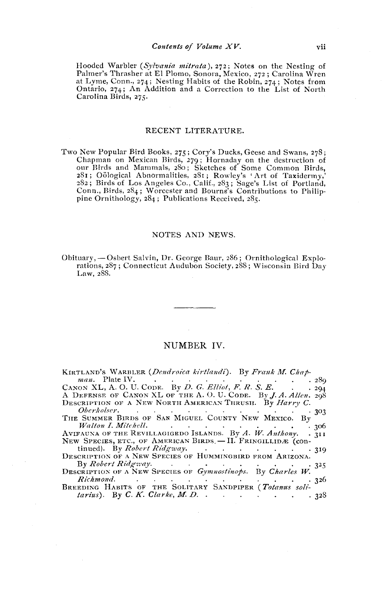Hooded Warbler (Sylvania mitrata), 272; Notes on the Nesting of Palmer's Thrasher at El Plomo, Sonora, Mexico, 272; Carolina Wren at Lyme, Conn., 274; Nesting Habits of the Robin, 274; Notes from Ontario, 274; An Addition and a Correction to the List of North Carolina Birds, 275.

## RECENT LITERATURE.

Two New Popular Bird Books, 275; Cory's Ducks, Geese and Swans, 278; Chapman on Mexican Birds, 279; Hornaday on the destruction of our Birds and Mammals, 280; Sketches of Some Common Birds,<br>281; Oölogical Abnormalities, 281; Rowley's 'Art of Taxidermy,'<br>282; Birds of Los Angeles Co., Calif., 283; Sage's List of Portland,<br>Conn., Birds, 284; Worcester a

## NOTES AND NEWS.

Obituary, - Osbert Salvin, Dr. George Baur, 286; Ornithological Explorations,  $287$ ; Connecticut Audubon Society,  $288$ ; Wisconsin Bird Day Law, 288.

## NUMBER IV.

| KIRTLAND'S WARBLER (Dendroica kirtlandi). By Frank M. Chap-                                                                                                                                                                         |
|-------------------------------------------------------------------------------------------------------------------------------------------------------------------------------------------------------------------------------------|
| .289                                                                                                                                                                                                                                |
| CANON XL, A.O. U. CODE. By D. G. Elliot, F. R. S. E. 294                                                                                                                                                                            |
| A DEFENSE OF CANON XL OF THE A.O.U. CODE. By J. A. Allen. 298                                                                                                                                                                       |
| DESCRIPTION OF A NEW NORTH AMERICAN THRUSH. By Harry C.                                                                                                                                                                             |
|                                                                                                                                                                                                                                     |
| Oberholser. 303<br>THE SUMMER BIRDS OF SAN MIGUEL COUNTY NEW MEXICO. By                                                                                                                                                             |
| Walton I. Mitchell. <b>Example 2</b> is the contract of the contract of the contract of the contract of the contract of the contract of the contract of the contract of the contract of the contract of the contract of the contrac |
| AVIFAUNA OF THE REVILLAGIGEDO ISLANDS. By A. W. Anthony. . 311                                                                                                                                                                      |
| NEW SPECIES, ETC., OF AMERICAN BIRDS. - II. FRINGILLIDÆ (con-                                                                                                                                                                       |
| tinued). By Robert Ridgway. 319                                                                                                                                                                                                     |
| DESCRIPTION OF A NEW SPECIES OF HUMMINGBIRD FROM ARIZONA.                                                                                                                                                                           |
|                                                                                                                                                                                                                                     |
| DESCRIPTION OF A NEW SPECIES OF Gymnostinops. By Charles W.                                                                                                                                                                         |
| Richmond. 326                                                                                                                                                                                                                       |
| BREEDING HABITS OF THE SOLITARY SANDPIPER (Totanus soli-                                                                                                                                                                            |
| <i>tarius</i> ). By C. K. Clarke, M. D. 328                                                                                                                                                                                         |